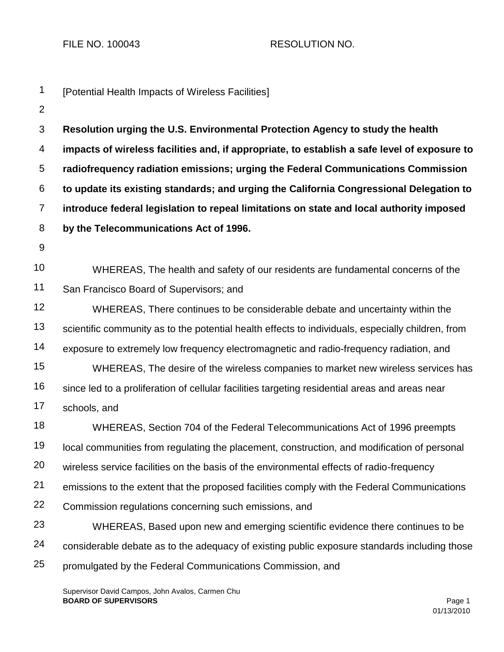FILE NO. 100043 RESOLUTION NO.

1 2 3 4 5 6 7 8 9 10 11 12 13 14 15 16 17 18 19 20 21 22 23 24 25 [Potential Health Impacts of Wireless Facilities] **Resolution urging the U.S. Environmental Protection Agency to study the health impacts of wireless facilities and, if appropriate, to establish a safe level of exposure to radiofrequency radiation emissions; urging the Federal Communications Commission to update its existing standards; and urging the California Congressional Delegation to introduce federal legislation to repeal limitations on state and local authority imposed by the Telecommunications Act of 1996.** WHEREAS, The health and safety of our residents are fundamental concerns of the San Francisco Board of Supervisors; and WHEREAS, There continues to be considerable debate and uncertainty within the scientific community as to the potential health effects to individuals, especially children, from exposure to extremely low frequency electromagnetic and radio-frequency radiation, and WHEREAS, The desire of the wireless companies to market new wireless services has since led to a proliferation of cellular facilities targeting residential areas and areas near schools, and WHEREAS, Section 704 of the Federal Telecommunications Act of 1996 preempts local communities from regulating the placement, construction, and modification of personal wireless service facilities on the basis of the environmental effects of radio-frequency emissions to the extent that the proposed facilities comply with the Federal Communications Commission regulations concerning such emissions, and WHEREAS, Based upon new and emerging scientific evidence there continues to be considerable debate as to the adequacy of existing public exposure standards including those promulgated by the Federal Communications Commission, and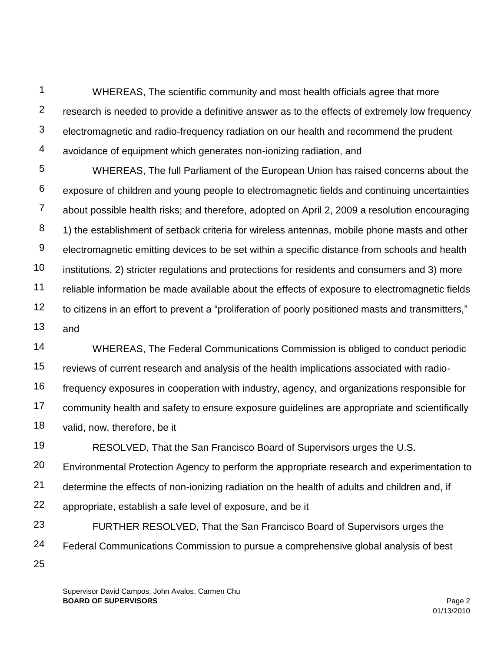1 2 3 4 WHEREAS, The scientific community and most health officials agree that more research is needed to provide a definitive answer as to the effects of extremely low frequency electromagnetic and radio-frequency radiation on our health and recommend the prudent avoidance of equipment which generates non-ionizing radiation, and

5 6 7 8 9 10 11 12 13 WHEREAS, The full Parliament of the European Union has raised concerns about the exposure of children and young people to electromagnetic fields and continuing uncertainties about possible health risks; and therefore, adopted on April 2, 2009 a resolution encouraging 1) the establishment of setback criteria for wireless antennas, mobile phone masts and other electromagnetic emitting devices to be set within a specific distance from schools and health institutions, 2) stricter regulations and protections for residents and consumers and 3) more reliable information be made available about the effects of exposure to electromagnetic fields to citizens in an effort to prevent a "proliferation of poorly positioned masts and transmitters," and

14 15 16 17 18 WHEREAS, The Federal Communications Commission is obliged to conduct periodic reviews of current research and analysis of the health implications associated with radiofrequency exposures in cooperation with industry, agency, and organizations responsible for community health and safety to ensure exposure guidelines are appropriate and scientifically valid, now, therefore, be it

19 20 21 22 23 24 RESOLVED, That the San Francisco Board of Supervisors urges the U.S. Environmental Protection Agency to perform the appropriate research and experimentation to determine the effects of non-ionizing radiation on the health of adults and children and, if appropriate, establish a safe level of exposure, and be it FURTHER RESOLVED, That the San Francisco Board of Supervisors urges the Federal Communications Commission to pursue a comprehensive global analysis of best

25